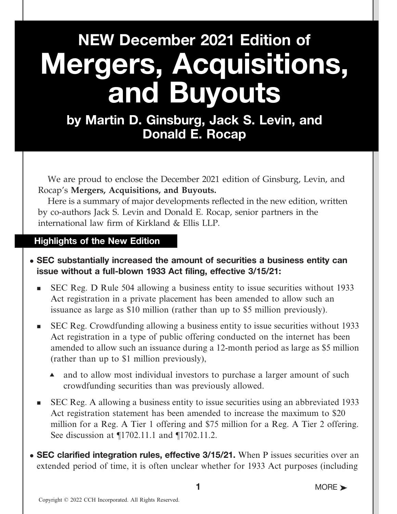# NEW December 2021 Edition of Mergers, Acquisitions, and Buyouts

by Martin D. Ginsburg, Jack S. Levin, and Donald E. Rocap

We are proud to enclose the December 2021 edition of Ginsburg, Levin, and Rocap's Mergers, Acquisitions, and Buyouts.

Here is a summary of major developments reflected in the new edition, written by co-authors Jack S. Levin and Donald E. Rocap, senior partners in the international law firm of Kirkland & Ellis LLP.

### Highlights of the New Edition

- SEC substantially increased the amount of securities a business entity can issue without a full-blown 1933 Act filing, effective 3/15/21:
	- <sup>n</sup> SEC Reg. D Rule 504 allowing a business entity to issue securities without 1933 Act registration in a private placement has been amended to allow such an issuance as large as \$10 million (rather than up to \$5 million previously).
	- <sup>n</sup> SEC Reg. Crowdfunding allowing a business entity to issue securities without 1933 Act registration in a type of public offering conducted on the internet has been amended to allow such an issuance during a 12-month period as large as \$5 million (rather than up to \$1 million previously),
		- and to allow most individual investors to purchase a larger amount of such crowdfunding securities than was previously allowed.
	- <sup>n</sup> SEC Reg. A allowing a business entity to issue securities using an abbreviated 1933 Act registration statement has been amended to increase the maximum to \$20 million for a Reg. A Tier 1 offering and \$75 million for a Reg. A Tier 2 offering. See discussion at ¶1702.11.1 and ¶1702.11.2.
- SEC clarified integration rules, effective 3/15/21. When P issues securities over an extended period of time, it is often unclear whether for 1933 Act purposes (including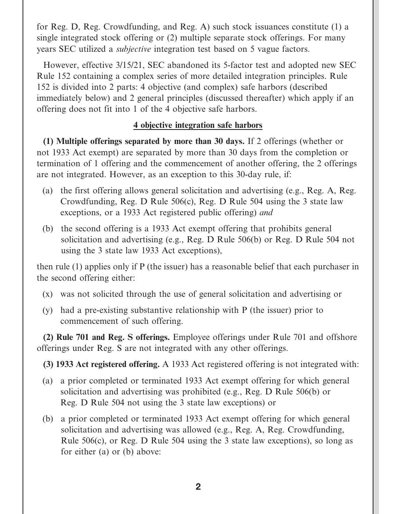for Reg. D, Reg. Crowdfunding, and Reg. A) such stock issuances constitute (1) a single integrated stock offering or (2) multiple separate stock offerings. For many years SEC utilized a subjective integration test based on 5 vague factors.

However, effective 3/15/21, SEC abandoned its 5-factor test and adopted new SEC Rule 152 containing a complex series of more detailed integration principles. Rule 152 is divided into 2 parts: 4 objective (and complex) safe harbors (described immediately below) and 2 general principles (discussed thereafter) which apply if an offering does not fit into 1 of the 4 objective safe harbors.

### 4 objective integration safe harbors

(1) Multiple offerings separated by more than 30 days. If 2 offerings (whether or not 1933 Act exempt) are separated by more than 30 days from the completion or termination of 1 offering and the commencement of another offering, the 2 offerings are not integrated. However, as an exception to this 30-day rule, if:

- (a) the first offering allows general solicitation and advertising (e.g., Reg. A, Reg. Crowdfunding, Reg. D Rule 506(c), Reg. D Rule 504 using the 3 state law exceptions, or a 1933 Act registered public offering) and
- (b) the second offering is a 1933 Act exempt offering that prohibits general solicitation and advertising (e.g., Reg. D Rule 506(b) or Reg. D Rule 504 not using the 3 state law 1933 Act exceptions),

then rule (1) applies only if P (the issuer) has a reasonable belief that each purchaser in the second offering either:

- (x) was not solicited through the use of general solicitation and advertising or
- (y) had a pre-existing substantive relationship with P (the issuer) prior to commencement of such offering.

(2) Rule 701 and Reg. S offerings. Employee offerings under Rule 701 and offshore offerings under Reg. S are not integrated with any other offerings.

(3) 1933 Act registered offering. A 1933 Act registered offering is not integrated with:

- (a) a prior completed or terminated 1933 Act exempt offering for which general solicitation and advertising was prohibited (e.g., Reg. D Rule 506(b) or Reg. D Rule 504 not using the 3 state law exceptions) or
- (b) a prior completed or terminated 1933 Act exempt offering for which general solicitation and advertising was allowed (e.g., Reg. A, Reg. Crowdfunding, Rule 506(c), or Reg. D Rule 504 using the 3 state law exceptions), so long as for either (a) or (b) above: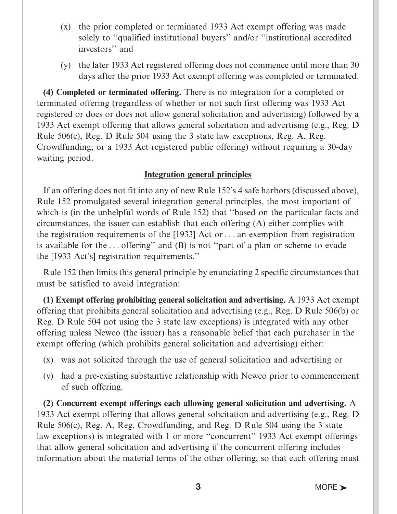- (x) the prior completed or terminated 1933 Act exempt offering was made solely to ''qualified institutional buyers'' and/or ''institutional accredited investors'' and
- (y) the later 1933 Act registered offering does not commence until more than 30 days after the prior 1933 Act exempt offering was completed or terminated.

(4) Completed or terminated offering. There is no integration for a completed or terminated offering (regardless of whether or not such first offering was 1933 Act registered or does or does not allow general solicitation and advertising) followed by a 1933 Act exempt offering that allows general solicitation and advertising (e.g., Reg. D Rule 506(c), Reg. D Rule 504 using the 3 state law exceptions, Reg. A, Reg. Crowdfunding, or a 1933 Act registered public offering) without requiring a 30-day waiting period.

#### Integration general principles

If an offering does not fit into any of new Rule 152's 4 safe harbors (discussed above), Rule 152 promulgated several integration general principles, the most important of which is (in the unhelpful words of Rule 152) that ''based on the particular facts and circumstances, the issuer can establish that each offering (A) either complies with the registration requirements of the [1933] Act or ... an exemption from registration is available for the ... offering'' and (B) is not ''part of a plan or scheme to evade the [1933 Act's] registration requirements.''

Rule 152 then limits this general principle by enunciating 2 specific circumstances that must be satisfied to avoid integration:

(1) Exempt offering prohibiting general solicitation and advertising. A 1933 Act exempt offering that prohibits general solicitation and advertising (e.g., Reg. D Rule 506(b) or Reg. D Rule 504 not using the 3 state law exceptions) is integrated with any other offering unless Newco (the issuer) has a reasonable belief that each purchaser in the exempt offering (which prohibits general solicitation and advertising) either:

- (x) was not solicited through the use of general solicitation and advertising or
- (y) had a pre-existing substantive relationship with Newco prior to commencement of such offering.

(2) Concurrent exempt offerings each allowing general solicitation and advertising. A 1933 Act exempt offering that allows general solicitation and advertising (e.g., Reg. D Rule 506(c), Reg. A, Reg. Crowdfunding, and Reg. D Rule 504 using the 3 state law exceptions) is integrated with 1 or more ''concurrent'' 1933 Act exempt offerings that allow general solicitation and advertising if the concurrent offering includes information about the material terms of the other offering, so that each offering must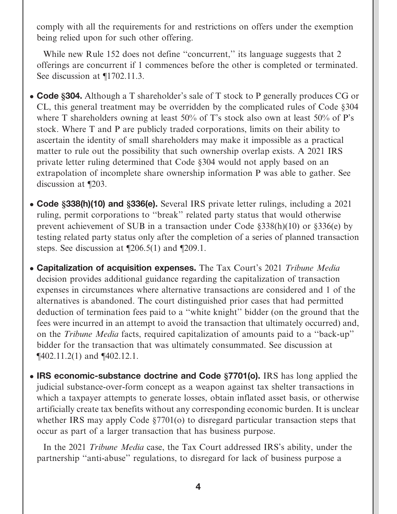comply with all the requirements for and restrictions on offers under the exemption being relied upon for such other offering.

While new Rule 152 does not define "concurrent," its language suggests that 2 offerings are concurrent if 1 commences before the other is completed or terminated. See discussion at  $\P$ 1702.11.3.

- Code §304. Although a T shareholder's sale of T stock to P generally produces CG or CL, this general treatment may be overridden by the complicated rules of Code §304 where T shareholders owning at least 50% of T's stock also own at least 50% of P's stock. Where T and P are publicly traded corporations, limits on their ability to ascertain the identity of small shareholders may make it impossible as a practical matter to rule out the possibility that such ownership overlap exists. A 2021 IRS private letter ruling determined that Code §304 would not apply based on an extrapolation of incomplete share ownership information P was able to gather. See discussion at ¶203.
- Code §338(h)(10) and §336(e). Several IRS private letter rulings, including a 2021 ruling, permit corporations to ''break'' related party status that would otherwise prevent achievement of SUB in a transaction under Code §338(h)(10) or §336(e) by testing related party status only after the completion of a series of planned transaction steps. See discussion at ¶206.5(1) and ¶209.1.
- Capitalization of acquisition expenses. The Tax Court's 2021 Tribune Media decision provides additional guidance regarding the capitalization of transaction expenses in circumstances where alternative transactions are considered and 1 of the alternatives is abandoned. The court distinguished prior cases that had permitted deduction of termination fees paid to a ''white knight'' bidder (on the ground that the fees were incurred in an attempt to avoid the transaction that ultimately occurred) and, on the Tribune Media facts, required capitalization of amounts paid to a ''back-up'' bidder for the transaction that was ultimately consummated. See discussion at ¶402.11.2(1) and ¶402.12.1.
- IRS economic-substance doctrine and Code §7701(o). IRS has long applied the judicial substance-over-form concept as a weapon against tax shelter transactions in which a taxpayer attempts to generate losses, obtain inflated asset basis, or otherwise artificially create tax benefits without any corresponding economic burden. It is unclear whether IRS may apply Code §7701(o) to disregard particular transaction steps that occur as part of a larger transaction that has business purpose.

In the 2021 Tribune Media case, the Tax Court addressed IRS's ability, under the partnership ''anti-abuse'' regulations, to disregard for lack of business purpose a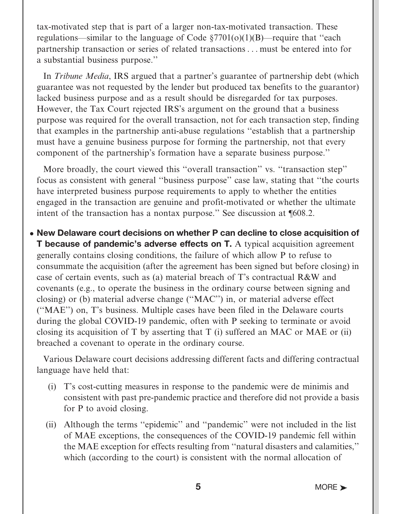tax-motivated step that is part of a larger non-tax-motivated transaction. These regulations—similar to the language of Code  $\S7701(0)(1)(B)$ —require that "each partnership transaction or series of related transactions ... must be entered into for a substantial business purpose.''

In Tribune Media, IRS argued that a partner's guarantee of partnership debt (which guarantee was not requested by the lender but produced tax benefits to the guarantor) lacked business purpose and as a result should be disregarded for tax purposes. However, the Tax Court rejected IRS's argument on the ground that a business purpose was required for the overall transaction, not for each transaction step, finding that examples in the partnership anti-abuse regulations ''establish that a partnership must have a genuine business purpose for forming the partnership, not that every component of the partnership's formation have a separate business purpose.''

More broadly, the court viewed this "overall transaction" vs. "transaction step" focus as consistent with general ''business purpose'' case law, stating that ''the courts have interpreted business purpose requirements to apply to whether the entities engaged in the transaction are genuine and profit-motivated or whether the ultimate intent of the transaction has a nontax purpose.'' See discussion at ¶608.2.

• New Delaware court decisions on whether P can decline to close acquisition of **T** because of pandemic's adverse effects on **T**. A typical acquisition agreement generally contains closing conditions, the failure of which allow P to refuse to consummate the acquisition (after the agreement has been signed but before closing) in case of certain events, such as (a) material breach of T's contractual R&W and covenants (e.g., to operate the business in the ordinary course between signing and closing) or (b) material adverse change (''MAC'') in, or material adverse effect (''MAE'') on, T's business. Multiple cases have been filed in the Delaware courts during the global COVID-19 pandemic, often with P seeking to terminate or avoid closing its acquisition of T by asserting that T (i) suffered an MAC or MAE or (ii) breached a covenant to operate in the ordinary course.

Various Delaware court decisions addressing different facts and differing contractual language have held that:

- (i) T's cost-cutting measures in response to the pandemic were de minimis and consistent with past pre-pandemic practice and therefore did not provide a basis for P to avoid closing.
- (ii) Although the terms ''epidemic'' and ''pandemic'' were not included in the list of MAE exceptions, the consequences of the COVID-19 pandemic fell within the MAE exception for effects resulting from ''natural disasters and calamities,'' which (according to the court) is consistent with the normal allocation of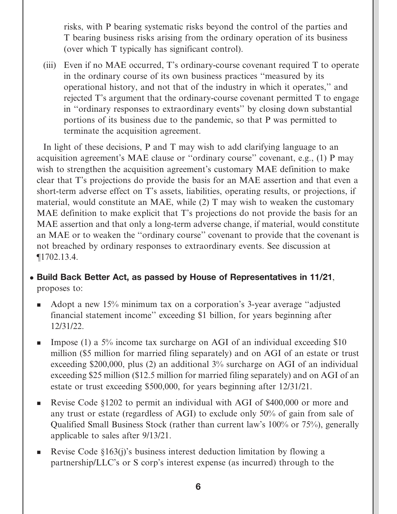risks, with P bearing systematic risks beyond the control of the parties and T bearing business risks arising from the ordinary operation of its business (over which T typically has significant control).

(iii) Even if no MAE occurred, T's ordinary-course covenant required T to operate in the ordinary course of its own business practices ''measured by its operational history, and not that of the industry in which it operates,'' and rejected T's argument that the ordinary-course covenant permitted T to engage in ''ordinary responses to extraordinary events'' by closing down substantial portions of its business due to the pandemic, so that P was permitted to terminate the acquisition agreement.

In light of these decisions, P and T may wish to add clarifying language to an acquisition agreement's MAE clause or ''ordinary course'' covenant, e.g., (1) P may wish to strengthen the acquisition agreement's customary MAE definition to make clear that T's projections do provide the basis for an MAE assertion and that even a short-term adverse effect on T's assets, liabilities, operating results, or projections, if material, would constitute an MAE, while (2) T may wish to weaken the customary MAE definition to make explicit that T's projections do not provide the basis for an MAE assertion and that only a long-term adverse change, if material, would constitute an MAE or to weaken the ''ordinary course'' covenant to provide that the covenant is not breached by ordinary responses to extraordinary events. See discussion at ¶1702.13.4.

## • Build Back Better Act, as passed by House of Representatives in 11/21, proposes to:

- <sup>n</sup> Adopt a new 15% minimum tax on a corporation's 3-year average ''adjusted financial statement income'' exceeding \$1 billion, for years beginning after 12/31/22.
- **n** Impose (1) a 5% income tax surcharge on AGI of an individual exceeding \$10 million (\$5 million for married filing separately) and on AGI of an estate or trust exceeding \$200,000, plus (2) an additional 3% surcharge on AGI of an individual exceeding \$25 million (\$12.5 million for married filing separately) and on AGI of an estate or trust exceeding \$500,000, for years beginning after 12/31/21.
- Revise Code §1202 to permit an individual with AGI of \$400,000 or more and any trust or estate (regardless of AGI) to exclude only 50% of gain from sale of Qualified Small Business Stock (rather than current law's 100% or 75%), generally applicable to sales after 9/13/21.
- Revise Code  $\S163(i)$ 's business interest deduction limitation by flowing a partnership/LLC's or S corp's interest expense (as incurred) through to the